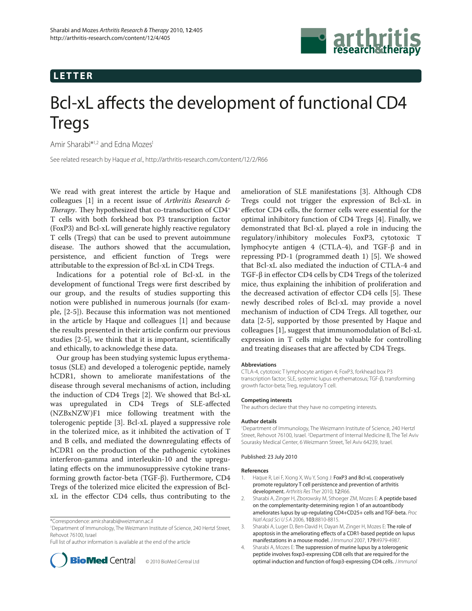## **LETTER**



# Bcl-xL affects the development of functional CD4 Tregs

Amir Sharabi<sup>\*1,2</sup> and Edna Mozes<sup>1</sup>

See related research by Haque et al., http://arthritis-research.com/content/12/2/R66

We read with great interest the article by Haque and colleagues [1] in a recent issue of *Arthritis Research & Therapy*. They hypothesized that co-transduction of CD4<sup>+</sup> T cells with both forkhead box P3 transcription factor (FoxP3) and Bcl-xL will generate highly reactive regulatory T cells (Tregs) that can be used to prevent autoimmune disease. The authors showed that the accumulation, persistence, and efficient function of Tregs were attributable to the expression of Bcl-xL in CD4 Tregs.

Indications for a potential role of Bcl-xL in the development of functional Tregs were first described by our group, and the results of studies supporting this notion were published in numerous journals (for example, [2-5]). Because this information was not mentioned in the article by Haque and colleagues [1] and because the results presented in their article confirm our previous studies  $[2-5]$ , we think that it is important, scientifically and ethically, to acknowledge these data.

Our group has been studying systemic lupus erythematosus (SLE) and developed a tolerogenic peptide, namely hCDR1, shown to ameliorate manifestations of the disease through several mechanisms of action, including the induction of CD4 Tregs [2]. We showed that Bcl-xL was upregulated in CD4 Tregs of SLE-affected (NZBxNZW)F1 mice following treatment with the tolerogenic peptide [3]. Bcl-xL played a suppressive role in the tolerized mice, as it inhibited the activation of T and B cells, and mediated the downregulating effects of hCDR1 on the production of the pathogenic cytokines interferon-gamma and interleukin-10 and the upregulating effects on the immunosuppressive cytokine transforming growth factor-beta (TGF-β). Furthermore, CD4 Tregs of the tolerized mice elicited the expression of BclxL in the effector CD4 cells, thus contributing to the

1 Department of Immunology, The Weizmann Institute of Science, 240 Hertzl Street, Rehovot 76100, Israel

Full list of author information is available at the end of the article



amelioration of SLE manifestations [3]. Although CD8 Tregs could not trigger the expression of Bcl-xL in effector CD4 cells, the former cells were essential for the optimal inhibitory function of CD4 Tregs [4]. Finally, we demonstrated that Bcl-xL played a role in inducing the regulatory/inhibitory molecules FoxP3, cytotoxic T lymphocyte antigen 4 (CTLA-4), and TGF-β and in repressing PD-1 (programmed death 1) [5]. We showed that Bcl-xL also mediated the induction of CTLA-4 and TGF-β in effector CD4 cells by CD4 Tregs of the tolerized mice, thus explaining the inhibition of proliferation and the decreased activation of effector CD4 cells [5]. These newly described roles of Bcl-xL may provide a novel mechanism of induction of CD4 Tregs. All together, our data [2-5], supported by those presented by Haque and colleagues [1], suggest that immunomodulation of Bcl-xL expression in T cells might be valuable for controlling and treating diseases that are affected by CD4 Tregs.

### **Abbreviations**

CTLA-4, cytotoxic T lymphocyte antigen 4; FoxP3, forkhead box P3 transcription factor; SLE, systemic lupus erythematosus; TGF-β, transforming growth factor-beta; Treg, regulatory T cell.

#### **Competing interests**

The authors declare that they have no competing interests.

#### **Author details**

1 Department of Immunology, The Weizmann Institute of Science, 240 Hertzl Street, Rehovot 76100, Israel. <sup>2</sup>Department of Internal Medicine B, The Tel Aviv Sourasky Medical Center, 6 Weizmann Street, Tel Aviv 64239, Israel.

#### Published: 23 July 2010

#### **References**

- 1. Haque R, Lei F, Xiong X, Wu Y, Song J: FoxP3 and Bcl-xL cooperatively promote regulatory T cell persistence and prevention of arthritis development. Arthritis Res Ther 2010, 12:R66.
- 2. Sharabi A, Zinger H, Zborowsky M, Sthoeger ZM, Mozes E: A peptide based on the complementarity-determining region 1 of an autoantibody ameliorates lupus by up-regulating CD4+CD25+ cells and TGF-beta. Proc Natl Acad Sci U S A 2006, 103:8810-8815.
- 3. Sharabi A, Luger D, Ben-David H, Dayan M, Zinger H, Mozes E: The role of apoptosis in the ameliorating effects of a CDR1-based peptide on lupus manifestations in a mouse model. J Immunol 2007, 179:4979-4987.
- 4. Sharabi A, Mozes E: The suppression of murine lupus by a tolerogenic peptide involves foxp3-expressing CD8 cells that are required for the **BioMed** Central © 2010 BioMed Central Ltd optimal induction and function of foxp3-expressing CD4 cells. J Immunol

<sup>\*</sup>Correspondence: amir.sharabi@weizmann.ac.il